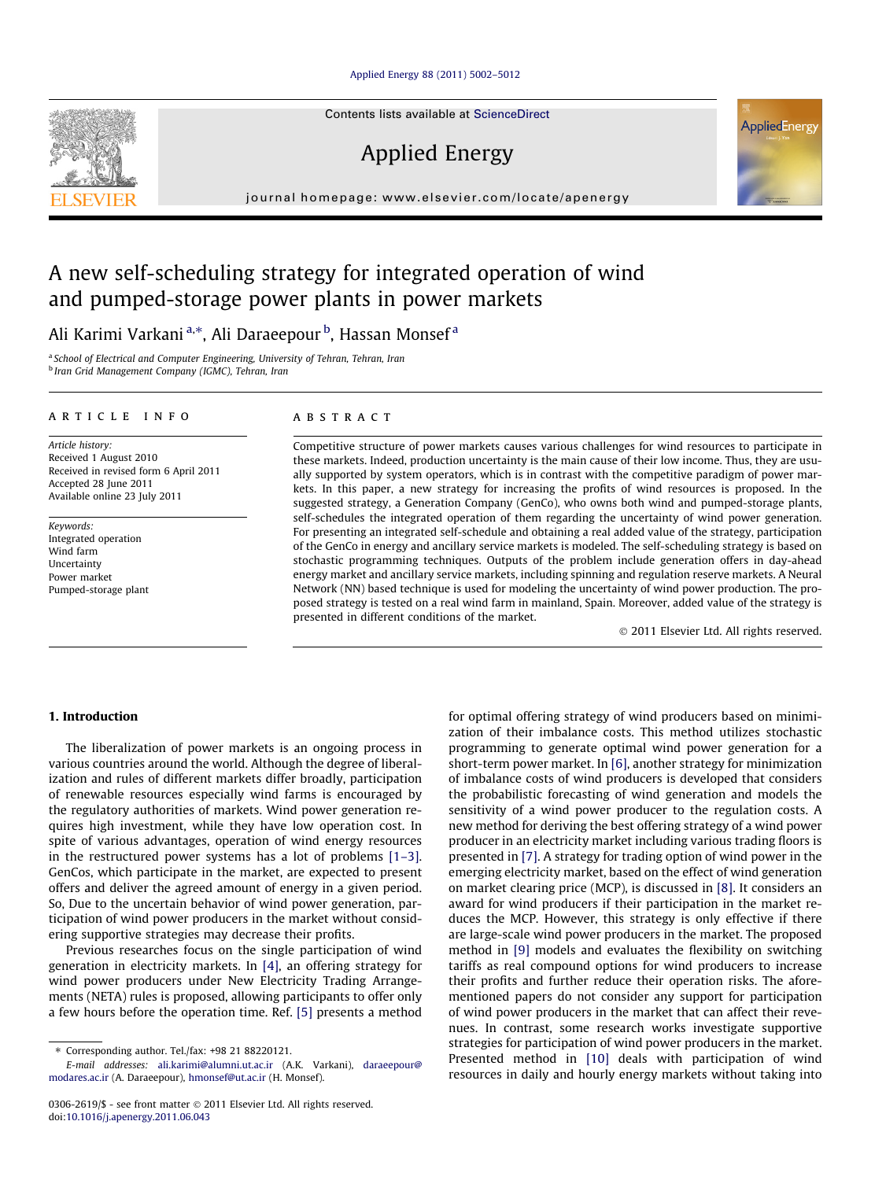[Applied Energy 88 \(2011\) 5002–5012](http://dx.doi.org/10.1016/j.apenergy.2011.06.043)

Contents lists available at [ScienceDirect](http://www.sciencedirect.com/science/journal/03062619)

Applied Energy

journal homepage: [www.elsevier.com/locate/apenergy](http://www.elsevier.com/locate/apenergy)

## A new self-scheduling strategy for integrated operation of wind and pumped-storage power plants in power markets

Ali Karimi Varkani<sup>a,</sup>\*, Ali Daraeepour <sup>b</sup>, Hassan Monsef <sup>a</sup>

<sup>a</sup> School of Electrical and Computer Engineering, University of Tehran, Tehran, Iran <sup>b</sup> Iran Grid Management Company (IGMC), Tehran, Iran

#### article info

Article history: Received 1 August 2010 Received in revised form 6 April 2011 Accepted 28 June 2011 Available online 23 July 2011

Keywords: Integrated operation Wind farm Uncertainty Power market Pumped-storage plant

#### ABSTRACT

Competitive structure of power markets causes various challenges for wind resources to participate in these markets. Indeed, production uncertainty is the main cause of their low income. Thus, they are usually supported by system operators, which is in contrast with the competitive paradigm of power markets. In this paper, a new strategy for increasing the profits of wind resources is proposed. In the suggested strategy, a Generation Company (GenCo), who owns both wind and pumped-storage plants, self-schedules the integrated operation of them regarding the uncertainty of wind power generation. For presenting an integrated self-schedule and obtaining a real added value of the strategy, participation of the GenCo in energy and ancillary service markets is modeled. The self-scheduling strategy is based on stochastic programming techniques. Outputs of the problem include generation offers in day-ahead energy market and ancillary service markets, including spinning and regulation reserve markets. A Neural Network (NN) based technique is used for modeling the uncertainty of wind power production. The proposed strategy is tested on a real wind farm in mainland, Spain. Moreover, added value of the strategy is presented in different conditions of the market.

- 2011 Elsevier Ltd. All rights reserved.

#### 1. Introduction

The liberalization of power markets is an ongoing process in various countries around the world. Although the degree of liberalization and rules of different markets differ broadly, participation of renewable resources especially wind farms is encouraged by the regulatory authorities of markets. Wind power generation requires high investment, while they have low operation cost. In spite of various advantages, operation of wind energy resources in the restructured power systems has a lot of problems [\[1–3\].](#page--1-0) GenCos, which participate in the market, are expected to present offers and deliver the agreed amount of energy in a given period. So, Due to the uncertain behavior of wind power generation, participation of wind power producers in the market without considering supportive strategies may decrease their profits.

Previous researches focus on the single participation of wind generation in electricity markets. In [\[4\]](#page--1-0), an offering strategy for wind power producers under New Electricity Trading Arrangements (NETA) rules is proposed, allowing participants to offer only a few hours before the operation time. Ref. [\[5\]](#page--1-0) presents a method for optimal offering strategy of wind producers based on minimization of their imbalance costs. This method utilizes stochastic programming to generate optimal wind power generation for a short-term power market. In [\[6\],](#page--1-0) another strategy for minimization of imbalance costs of wind producers is developed that considers the probabilistic forecasting of wind generation and models the sensitivity of a wind power producer to the regulation costs. A new method for deriving the best offering strategy of a wind power producer in an electricity market including various trading floors is presented in [\[7\]](#page--1-0). A strategy for trading option of wind power in the emerging electricity market, based on the effect of wind generation on market clearing price (MCP), is discussed in [\[8\].](#page--1-0) It considers an award for wind producers if their participation in the market reduces the MCP. However, this strategy is only effective if there are large-scale wind power producers in the market. The proposed method in [\[9\]](#page--1-0) models and evaluates the flexibility on switching tariffs as real compound options for wind producers to increase their profits and further reduce their operation risks. The aforementioned papers do not consider any support for participation of wind power producers in the market that can affect their revenues. In contrast, some research works investigate supportive strategies for participation of wind power producers in the market. Presented method in [\[10\]](#page--1-0) deals with participation of wind resources in daily and hourly energy markets without taking into





<sup>⇑</sup> Corresponding author. Tel./fax: +98 21 88220121.

E-mail addresses: [ali.karimi@alumni.ut.ac.ir](mailto:ali.karimi@alumni.ut.ac.ir) (A.K. Varkani), [daraeepour@](mailto:daraeepour@   modares.ac.ir) [modares.ac.ir](mailto:daraeepour@   modares.ac.ir) (A. Daraeepour), [hmonsef@ut.ac.ir](mailto:hmonsef@ut.ac.ir) (H. Monsef).

<sup>0306-2619/\$ -</sup> see front matter © 2011 Elsevier Ltd. All rights reserved. doi:[10.1016/j.apenergy.2011.06.043](http://dx.doi.org/10.1016/j.apenergy.2011.06.043)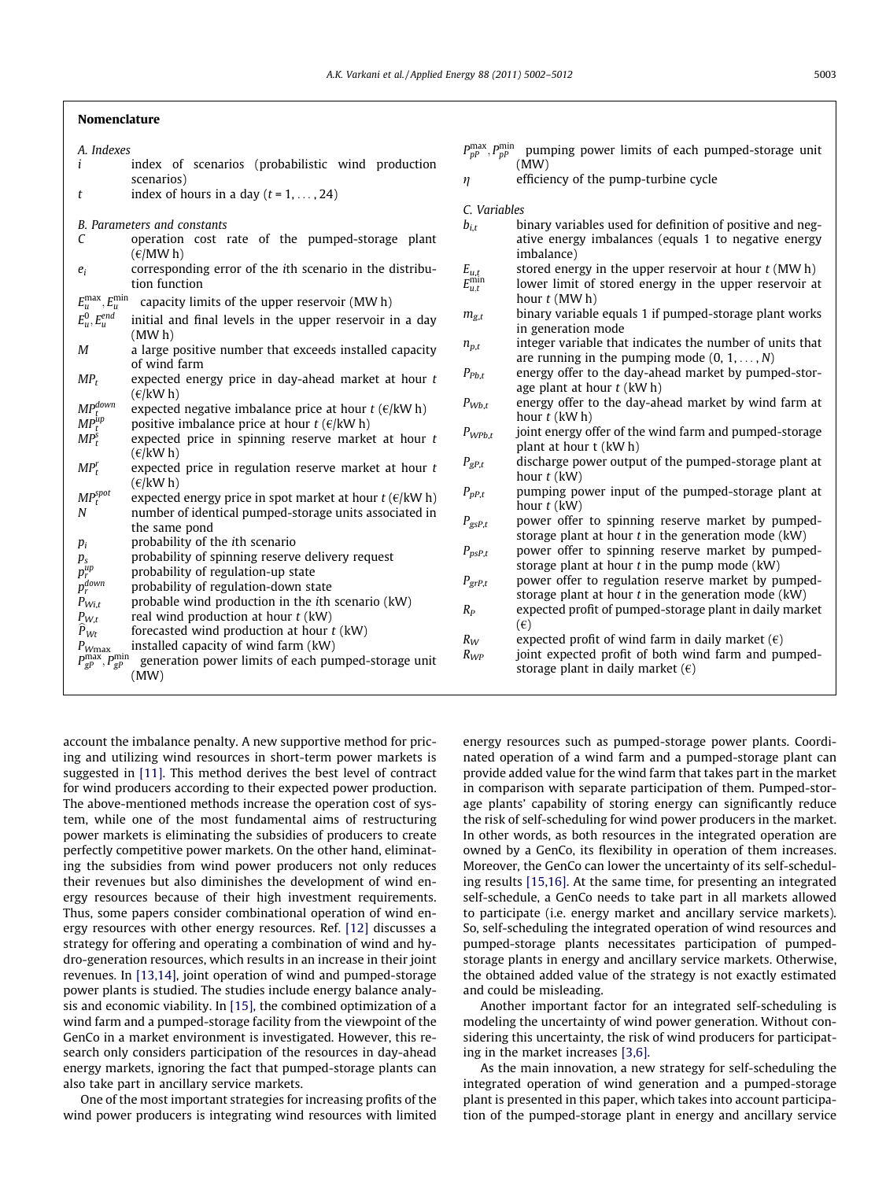### Nomenclature

A. Indexes

t index of hours in a day  $(t = 1, \ldots, 24)$ 

B. Parameters and constants

|                   |  |  | operation cost rate of the pumped-storage plant                                                                 |  |
|-------------------|--|--|-----------------------------------------------------------------------------------------------------------------|--|
| $(\epsilon/MW h)$ |  |  |                                                                                                                 |  |
|                   |  |  | the contract of the contract of the contract of the contract of the contract of the contract of the contract of |  |

 $e_i$  corresponding error of the *i*th scenario in the distribution function

|  | $E_u^{\text{max}}, E_u^{\text{min}}$ capacity limits of the upper reservoir (MW h) |  |
|--|------------------------------------------------------------------------------------|--|
|  |                                                                                    |  |

 $E_u^0, E_u^{end}$ initial and final levels in the upper reservoir in a day (MW h)

| M            | a large positive number that exceeds installed capacity |  |  |  |
|--------------|---------------------------------------------------------|--|--|--|
|              | of wind farm                                            |  |  |  |
| $\mathbf{r}$ |                                                         |  |  |  |

- $MP_t$  expected energy price in day-ahead market at hour t  $(\epsilon/kW h)$
- $MP_*^{down}$ expected negative imbalance price at hour  $t$  ( $\epsilon$ /kW h)  $MP_t^{\text{up}}$ positive imbalance price at hour  $t$  ( $\varepsilon$ /kW h)  $MP_t^s$ expected price in spinning reserve market at hour  $t$
- $(\epsilon/kW h)$  $MP<sub>r</sub><sup>r</sup>$ expected price in regulation reserve market at hour  $t$  $(\epsilon/kW h)$
- MPspot expected energy price in spot market at hour  $t$  ( $\epsilon$ /kW h) N number of identical pumped-storage units associated in the same pond
- $p_i$  probability of the *i*th scenario
- $p_s$  probability of spinning reserve delivery request
- $p_{r}^{\mathrm{up}}$ <sup>r</sup> probability of regulation-up state
- $p_r$ <sup>down</sup>  $p_r^{down}$  probability of regulation-down state probable wind production in the *i*th
- probable wind production in the ith scenario  $(kW)$
- $P_{W,t}$  real wind production at hour t (kW)<br>  $\hat{P}_{Wt}$  forecasted wind production at hour t
- forecasted wind production at hour  $t$  (kW)
- $P_{Wmax}$  installed capacity of wind farm (kW)
- $P_{\it gP}^{\rm max}, P_{\it gP}^{\rm min}$ generation power limits of each pumped-storage unit (MW)

 $P_{pP}^{\text{max}}, P_{pP}^{\text{min}}$  pumping power limits of each pumped-storage unit (MW)  $\eta$  efficiency of the pump-turbine cycle C. Variables

| $b_{i.t}$        | binary variables used for definition of positive and neg- |
|------------------|-----------------------------------------------------------|
|                  | ative energy imbalances (equals 1 to negative energy      |
|                  | imbalance)                                                |
| $E_{u,t}$        | stored energy in the upper reservoir at hour $t$ (MW h)   |
| $E_{u,t}^{\min}$ | lower limit of stored energy in the upper reservoir at    |
|                  | hour $t$ (MW h)                                           |
| $m_{\text{g},t}$ | binary variable equals 1 if pumped-storage plant works    |
|                  | in generation mode                                        |
| $n_{p,t}$        | integer variable that indicates the number of units that  |
|                  | are running in the pumping mode $(0, 1, \ldots, N)$       |
| $P_{Pb,t}$       | energy offer to the day-ahead market by pumped-stor-      |
|                  | age plant at hour $t$ (kW h)                              |
| $P_{Wb,t}$       | energy offer to the day-ahead market by wind farm at      |
|                  | hour $t$ (kW h)                                           |
| $P_{WPD,t}$      | joint energy offer of the wind farm and pumped-storage    |
|                  | plant at hour t (kW h)                                    |
| $P_{gP,t}$       | discharge power output of the pumped-storage plant at     |
|                  | hour $t$ (kW)                                             |
| $P_{pP,t}$       | pumping power input of the pumped-storage plant at        |
|                  | hour $t$ (kW)                                             |
| $P_{\rm gsP,t}$  | power offer to spinning reserve market by pumped-         |
|                  | storage plant at hour $t$ in the generation mode (kW)     |
| $P_{psP,t}$      | power offer to spinning reserve market by pumped-         |
|                  | storage plant at hour $t$ in the pump mode (kW)           |
| $P_{grP,t}$      | power offer to regulation reserve market by pumped-       |
|                  | storage plant at hour $t$ in the generation mode (kW)     |
|                  |                                                           |
| $R_P$            | expected profit of pumped-storage plant in daily market   |
|                  | $(\epsilon)$                                              |
| $R_W$            | expected profit of wind farm in daily market $(\epsilon)$ |
| $R_{WP}$         | joint expected profit of both wind farm and pumped-       |

storage plant in daily market  $(\epsilon)$ 

account the imbalance penalty. A new supportive method for pricing and utilizing wind resources in short-term power markets is suggested in [\[11\]](#page--1-0). This method derives the best level of contract for wind producers according to their expected power production. The above-mentioned methods increase the operation cost of system, while one of the most fundamental aims of restructuring power markets is eliminating the subsidies of producers to create perfectly competitive power markets. On the other hand, eliminating the subsidies from wind power producers not only reduces their revenues but also diminishes the development of wind energy resources because of their high investment requirements. Thus, some papers consider combinational operation of wind energy resources with other energy resources. Ref. [\[12\]](#page--1-0) discusses a strategy for offering and operating a combination of wind and hydro-generation resources, which results in an increase in their joint revenues. In [\[13,14\]](#page--1-0), joint operation of wind and pumped-storage power plants is studied. The studies include energy balance analysis and economic viability. In [\[15\]](#page--1-0), the combined optimization of a wind farm and a pumped-storage facility from the viewpoint of the GenCo in a market environment is investigated. However, this research only considers participation of the resources in day-ahead energy markets, ignoring the fact that pumped-storage plants can

One of the most important strategies for increasing profits of the wind power producers is integrating wind resources with limited

also take part in ancillary service markets.

energy resources such as pumped-storage power plants. Coordinated operation of a wind farm and a pumped-storage plant can provide added value for the wind farm that takes part in the market in comparison with separate participation of them. Pumped-storage plants' capability of storing energy can significantly reduce the risk of self-scheduling for wind power producers in the market. In other words, as both resources in the integrated operation are owned by a GenCo, its flexibility in operation of them increases. Moreover, the GenCo can lower the uncertainty of its self-scheduling results [\[15,16\].](#page--1-0) At the same time, for presenting an integrated self-schedule, a GenCo needs to take part in all markets allowed to participate (i.e. energy market and ancillary service markets). So, self-scheduling the integrated operation of wind resources and pumped-storage plants necessitates participation of pumpedstorage plants in energy and ancillary service markets. Otherwise, the obtained added value of the strategy is not exactly estimated and could be misleading.

Another important factor for an integrated self-scheduling is modeling the uncertainty of wind power generation. Without considering this uncertainty, the risk of wind producers for participating in the market increases [\[3,6\]](#page--1-0).

As the main innovation, a new strategy for self-scheduling the integrated operation of wind generation and a pumped-storage plant is presented in this paper, which takes into account participation of the pumped-storage plant in energy and ancillary service